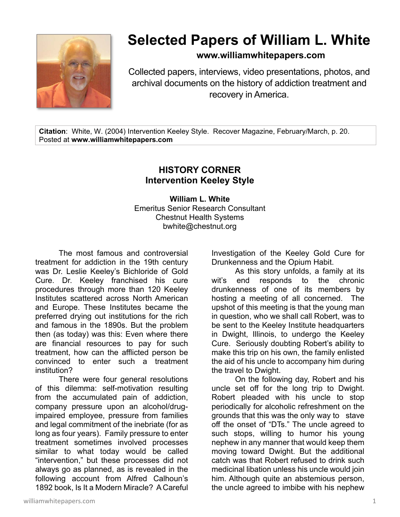

## **Selected Papers of William L. White**

**www.williamwhitepapers.com**

Collected papers, interviews, video presentations, photos, and archival documents on the history of addiction treatment and recovery in America.

**Citation**: White, W. (2004) Intervention Keeley Style. Recover Magazine, February/March, p. 20. Posted at **www.williamwhitepapers.com** 

## **HISTORY CORNER Intervention Keeley Style**

**William L. White**  Emeritus Senior Research Consultant Chestnut Health Systems bwhite@chestnut.org

The most famous and controversial treatment for addiction in the 19th century was Dr. Leslie Keeley's Bichloride of Gold Cure. Dr. Keeley franchised his cure procedures through more than 120 Keeley Institutes scattered across North American and Europe. These Institutes became the preferred drying out institutions for the rich and famous in the 1890s. But the problem then (as today) was this: Even where there are financial resources to pay for such treatment, how can the afflicted person be convinced to enter such a treatment institution?

There were four general resolutions of this dilemma: self-motivation resulting from the accumulated pain of addiction, company pressure upon an alcohol/drugimpaired employee, pressure from families and legal commitment of the inebriate (for as long as four years). Family pressure to enter treatment sometimes involved processes similar to what today would be called "intervention," but these processes did not always go as planned, as is revealed in the following account from Alfred Calhoun's 1892 book, Is It a Modern Miracle? A Careful Investigation of the Keeley Gold Cure for Drunkenness and the Opium Habit.

 As this story unfolds, a family at its wit's end responds to the chronic drunkenness of one of its members by hosting a meeting of all concerned. The upshot of this meeting is that the young man in question, who we shall call Robert, was to be sent to the Keeley Institute headquarters in Dwight, Illinois, to undergo the Keeley Cure. Seriously doubting Robert's ability to make this trip on his own, the family enlisted the aid of his uncle to accompany him during the travel to Dwight.

 On the following day, Robert and his uncle set off for the long trip to Dwight. Robert pleaded with his uncle to stop periodically for alcoholic refreshment on the grounds that this was the only way to stave off the onset of "DTs." The uncle agreed to such stops, willing to humor his young nephew in any manner that would keep them moving toward Dwight. But the additional catch was that Robert refused to drink such medicinal libation unless his uncle would join him. Although quite an abstemious person. the uncle agreed to imbibe with his nephew